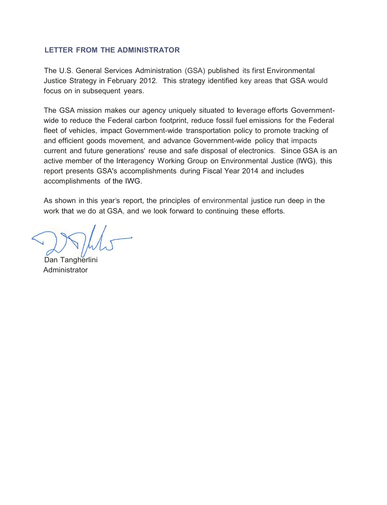#### **LETTER FROM THE ADMINISTRATOR**

The U.S. General Services Administration (GSA) published its first Environmental Justice Strategy in February 2012. This strategy identified key areas that GSA would focus on in subsequent years.

The GSA mission makes our agency uniquely situated to leverage efforts Governmentwide to reduce the Federal carbon footprint, reduce fossil fuel emissions for the Federal fleet of vehicles, impact Government-wide transportation policy to promote tracking of and efficient goods movement, and advance Government-wide policy that impacts current and future generations' reuse and safe disposal of electronics. Since GSA is an active member of the Interagency Working Group on Environmental Justice (IWG), this report presents GSA's accomplishments during Fiscal Year 2014 and includes accomplishments of the IWG.

As shown in this year's report, the principles of environmental justice run deep in the work that we do at GSA, and we look forward to continuing these efforts.

Dan Tangherlini Administrator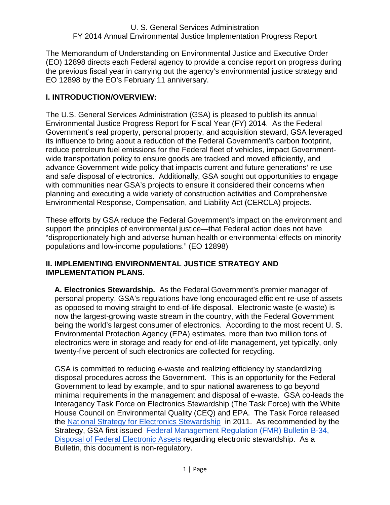The Memorandum of Understanding on Environmental Justice and Executive Order (EO) 12898 directs each Federal agency to provide a concise report on progress during the previous fiscal year in carrying out the agency's environmental justice strategy and EO 12898 by the EO's February 11 anniversary.

# **I. INTRODUCTION/OVERVIEW:**

The U.S. General Services Administration (GSA) is pleased to publish its annual Environmental Justice Progress Report for Fiscal Year (FY) 2014. As the Federal Government's real property, personal property, and acquisition steward, GSA leveraged its influence to bring about a reduction of the Federal Government's carbon footprint, reduce petroleum fuel emissions for the Federal fleet of vehicles, impact Governmentwide transportation policy to ensure goods are tracked and moved efficiently, and advance Government-wide policy that impacts current and future generations' re-use and safe disposal of electronics. Additionally, GSA sought out opportunities to engage with communities near GSA's projects to ensure it considered their concerns when planning and executing a wide variety of construction activities and Comprehensive Environmental Response, Compensation, and Liability Act (CERCLA) projects.

These efforts by GSA reduce the Federal Government's impact on the environment and support the principles of environmental justice—that Federal action does not have "disproportionately high and adverse human health or environmental effects on minority populations and low-income populations." (EO 12898)

## **II. IMPLEMENTING ENVIRONMENTAL JUSTICE STRATEGY AND IMPLEMENTATION PLANS.**

**A. Electronics Stewardship.** As the Federal Government's premier manager of personal property, GSA's regulations have long encouraged efficient re-use of assets as opposed to moving straight to end-of-life disposal. Electronic waste (e-waste) is now the largest-growing waste stream in the country, with the Federal Government being the world's largest consumer of electronics. According to the most recent U. S. Environmental Protection Agency (EPA) estimates, more than two million tons of electronics were in storage and ready for end-of-life management, yet typically, only twenty-five percent of such electronics are collected for recycling.

GSA is committed to reducing e-waste and realizing efficiency by standardizing disposal procedures across the Government. This is an opportunity for the Federal Government to lead by example, and to spur national awareness to go beyond minimal requirements in the management and disposal of e-waste. GSA co-leads the Interagency Task Force on Electronics Stewardship (The Task Force) with the White House Council on Environmental Quality (CEQ) and EPA. The Task Force released the National Strategy for Electronics Stewardship in 2011. As recommended by the Strategy, GSA first issued Federal Management Regulation (FMR) Bulletin B-34, Disposal of Federal Electronic Assets regarding electronic stewardship. As a Bulletin, this document is non-regulatory.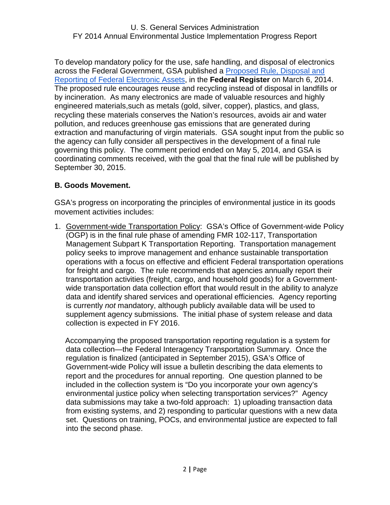To develop mandatory policy for the use, safe handling, and disposal of electronics across the Federal Government, GSA published a Proposed Rule, Disposal and Reporting of Federal Electronic Assets, in the **Federal Register** on March 6, 2014. The proposed rule encourages reuse and recycling instead of disposal in landfills or by incineration. As many electronics are made of valuable resources and highly engineered materials,such as metals (gold, silver, copper), plastics, and glass, recycling these materials conserves the Nation's resources, avoids air and water pollution, and reduces greenhouse gas emissions that are generated during extraction and manufacturing of virgin materials. GSA sought input from the public so the agency can fully consider all perspectives in the development of a final rule governing this policy. The comment period ended on May 5, 2014, and GSA is coordinating comments received, with the goal that the final rule will be published by September 30, 2015.

# **B. Goods Movement.**

GSA's progress on incorporating the principles of environmental justice in its goods movement activities includes:

1. Government-wide Transportation Policy: GSA's Office of Government-wide Policy (OGP) is in the final rule phase of amending FMR 102-117, Transportation Management Subpart K Transportation Reporting. Transportation management policy seeks to improve management and enhance sustainable transportation operations with a focus on effective and efficient Federal transportation operations for freight and cargo. The rule recommends that agencies annually report their transportation activities (freight, cargo, and household goods) for a Governmentwide transportation data collection effort that would result in the ability to analyze data and identify shared services and operational efficiencies. Agency reporting is currently *not* mandatory, although publicly available data will be used to supplement agency submissions. The initial phase of system release and data collection is expected in FY 2016.

 Accompanying the proposed transportation reporting regulation is a system for data collection—the Federal Interagency Transportation Summary. Once the regulation is finalized (anticipated in September 2015), GSA's Office of Government-wide Policy will issue a bulletin describing the data elements to report and the procedures for annual reporting. One question planned to be included in the collection system is "Do you incorporate your own agency's environmental justice policy when selecting transportation services?" Agency data submissions may take a two-fold approach: 1) uploading transaction data from existing systems, and 2) responding to particular questions with a new data set. Questions on training, POCs, and environmental justice are expected to fall into the second phase.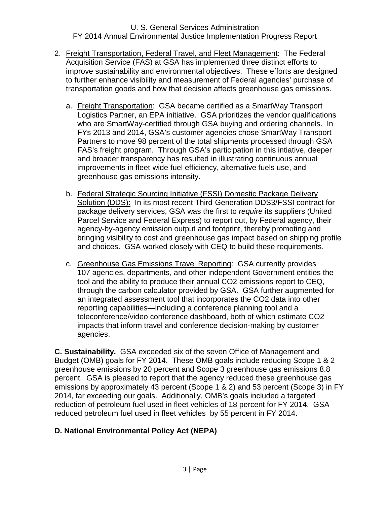- 2. Freight Transportation, Federal Travel, and Fleet Management: The Federal Acquisition Service (FAS) at GSA has implemented three distinct efforts to improve sustainability and environmental objectives. These efforts are designed to further enhance visibility and measurement of Federal agencies' purchase of transportation goods and how that decision affects greenhouse gas emissions.
	- a. Freight Transportation: GSA became certified as a SmartWay Transport Logistics Partner, an EPA initiative. GSA prioritizes the vendor qualifications who are SmartWay-certified through GSA buying and ordering channels. In FYs 2013 and 2014, GSA's customer agencies chose SmartWay Transport Partners to move 98 percent of the total shipments processed through GSA FAS's freight program. Through GSA's participation in this intiative, deeper and broader transparency has resulted in illustrating continuous annual improvements in fleet-wide fuel efficiency, alternative fuels use, and greenhouse gas emissions intensity.
	- b. Federal Strategic Sourcing Initiative (FSSI) Domestic Package Delivery Solution (DDS): In its most recent Third-Generation DDS3/FSSI contract for package delivery services, GSA was the first to *require* its suppliers (United Parcel Service and Federal Express) to report out, by Federal agency, their agency-by-agency emission output and footprint, thereby promoting and bringing visibility to cost and greenhouse gas impact based on shipping profile and choices. GSA worked closely with CEQ to build these requirements.
	- c. Greenhouse Gas Emissions Travel Reporting: GSA currently provides 107 agencies, departments, and other independent Government entities the tool and the ability to produce their annual CO2 emissions report to CEQ, through the carbon calculator provided by GSA. GSA further augmented for an integrated assessment tool that incorporates the CO2 data into other reporting capabilities—including a conference planning tool and a teleconference/video conference dashboard, both of which estimate CO2 impacts that inform travel and conference decision-making by customer agencies.

**C. Sustainability.** GSA exceeded six of the seven Office of Management and Budget (OMB) goals for FY 2014. These OMB goals include reducing Scope 1 & 2 greenhouse emissions by 20 percent and Scope 3 greenhouse gas emissions 8.8 percent. GSA is pleased to report that the agency reduced these greenhouse gas emissions by approximately 43 percent (Scope 1 & 2) and 53 percent (Scope 3) in FY 2014, far exceeding our goals. Additionally, OMB's goals included a targeted reduction of petroleum fuel used in fleet vehicles of 18 percent for FY 2014. GSA reduced petroleum fuel used in fleet vehicles by 55 percent in FY 2014.

# **D. National Environmental Policy Act (NEPA)**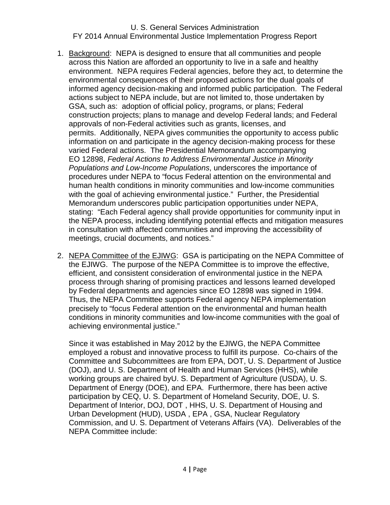- 1. Background: NEPA is designed to ensure that all communities and people across this Nation are afforded an opportunity to live in a safe and healthy environment. NEPA requires Federal agencies, before they act, to determine the environmental consequences of their proposed actions for the dual goals of informed agency decision-making and informed public participation. The Federal actions subject to NEPA include, but are not limited to, those undertaken by GSA, such as: adoption of official policy, programs, or plans; Federal construction projects; plans to manage and develop Federal lands; and Federal approvals of non-Federal activities such as grants, licenses, and permits. Additionally, NEPA gives communities the opportunity to access public information on and participate in the agency decision-making process for these varied Federal actions. The Presidential Memorandum accompanying EO 12898, *Federal Actions to Address Environmental Justice in Minority Populations and Low-Income Populations*, underscores the importance of procedures under NEPA to "focus Federal attention on the environmental and human health conditions in minority communities and low-income communities with the goal of achieving environmental justice." Further, the Presidential Memorandum underscores public participation opportunities under NEPA, stating: "Each Federal agency shall provide opportunities for community input in the NEPA process, including identifying potential effects and mitigation measures in consultation with affected communities and improving the accessibility of meetings, crucial documents, and notices."
- 2. NEPA Committee of the EJIWG: GSA is participating on the NEPA Committee of the EJIWG. The purpose of the NEPA Committee is to improve the effective, efficient, and consistent consideration of environmental justice in the NEPA process through sharing of promising practices and lessons learned developed by Federal departments and agencies since EO 12898 was signed in 1994. Thus, the NEPA Committee supports Federal agency NEPA implementation precisely to "focus Federal attention on the environmental and human health conditions in minority communities and low-income communities with the goal of achieving environmental justice."

Since it was established in May 2012 by the EJIWG, the NEPA Committee employed a robust and innovative process to fulfill its purpose. Co-chairs of the Committee and Subcommittees are from EPA, DOT, U. S. Department of Justice (DOJ), and U. S. Department of Health and Human Services (HHS), while working groups are chaired byU. S. Department of Agriculture (USDA), U. S. Department of Energy (DOE), and EPA. Furthermore, there has been active participation by CEQ, U. S. Department of Homeland Security, DOE, U. S. Department of Interior, DOJ, DOT , HHS, U. S. Department of Housing and Urban Development (HUD), USDA , EPA , GSA, Nuclear Regulatory Commission, and U. S. Department of Veterans Affairs (VA). Deliverables of the NEPA Committee include: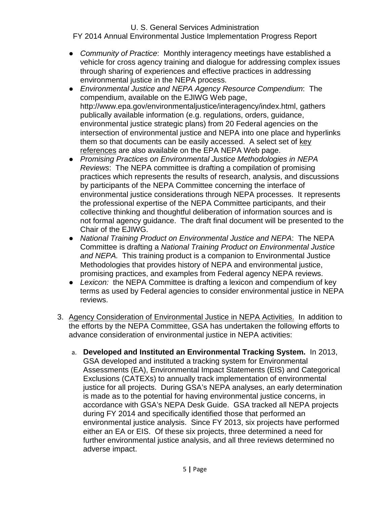# U. S. General Services Administration

FY 2014 Annual Environmental Justice Implementation Progress Report

- *Community of Practice*: Monthly interagency meetings have established a vehicle for cross agency training and dialogue for addressing complex issues through sharing of experiences and effective practices in addressing environmental justice in the NEPA process.
- *Environmental Justice and NEPA Agency Resource Compendium*: The compendium, available on the EJIWG Web page, http://www.epa.gov/environmentaljustice/interagency/index.html, gathers publically available information (e.g. regulations, orders, guidance, environmental justice strategic plans) from 20 Federal agencies on the intersection of environmental justice and NEPA into one place and hyperlinks them so that documents can be easily accessed. A select set of key references are also available on the EPA NEPA Web page.
- *Promising Practices on Environmental Justice Methodologies in NEPA Reviews*: The NEPA committee is drafting a compilation of promising practices which represents the results of research, analysis, and discussions by participants of the NEPA Committee concerning the interface of environmental justice considerations through NEPA processes. It represents the professional expertise of the NEPA Committee participants, and their collective thinking and thoughtful deliberation of information sources and is not formal agency guidance. The draft final document will be presented to the Chair of the EJIWG.
- *National Training Product on Environmental Justice and NEPA*: The NEPA Committee is drafting a *National Training Product on Environmental Justice and NEPA.* This training product is a companion to Environmental Justice Methodologies that provides history of NEPA and environmental justice, promising practices, and examples from Federal agency NEPA reviews.
- *Lexicon:* the NEPA Committee is drafting a lexicon and compendium of key terms as used by Federal agencies to consider environmental justice in NEPA reviews.
- 3. Agency Consideration of Environmental Justice in NEPA Activities.In addition to the efforts by the NEPA Committee, GSA has undertaken the following efforts to advance consideration of environmental justice in NEPA activities:
	- a. **Developed and Instituted an Environmental Tracking System.** In 2013, GSA developed and instituted a tracking system for Environmental Assessments (EA), Environmental Impact Statements (EIS) and Categorical Exclusions (CATEXs) to annually track implementation of environmental justice for all projects. During GSA's NEPA analyses, an early determination is made as to the potential for having environmental justice concerns, in accordance with GSA's NEPA Desk Guide. GSA tracked all NEPA projects during FY 2014 and specifically identified those that performed an environmental justice analysis. Since FY 2013, six projects have performed either an EA or EIS. Of these six projects, three determined a need for further environmental justice analysis, and all three reviews determined no adverse impact.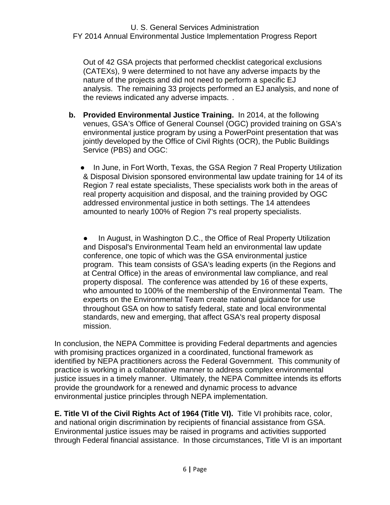Out of 42 GSA projects that performed checklist categorical exclusions (CATEXs), 9 were determined to not have any adverse impacts by the nature of the projects and did not need to perform a specific EJ analysis. The remaining 33 projects performed an EJ analysis, and none of the reviews indicated any adverse impacts. .

- **b. Provided Environmental Justice Training.** In 2014, at the following venues, GSA's Office of General Counsel (OGC) provided training on GSA's environmental justice program by using a PowerPoint presentation that was jointly developed by the Office of Civil Rights (OCR), the Public Buildings Service (PBS) and OGC:
	- In June, in Fort Worth, Texas, the GSA Region 7 Real Property Utilization & Disposal Division sponsored environmental law update training for 14 of its Region 7 real estate specialists, These specialists work both in the areas of real property acquisition and disposal, and the training provided by OGC addressed environmental justice in both settings. The 14 attendees amounted to nearly 100% of Region 7's real property specialists.

In August, in Washington D.C., the Office of Real Property Utilization and Disposal's Environmental Team held an environmental law update conference, one topic of which was the GSA environmental justice program. This team consists of GSA's leading experts (in the Regions and at Central Office) in the areas of environmental law compliance, and real property disposal. The conference was attended by 16 of these experts, who amounted to 100% of the membership of the Environmental Team. The experts on the Environmental Team create national guidance for use throughout GSA on how to satisfy federal, state and local environmental standards, new and emerging, that affect GSA's real property disposal mission.

In conclusion, the NEPA Committee is providing Federal departments and agencies with promising practices organized in a coordinated, functional framework as identified by NEPA practitioners across the Federal Government. This community of practice is working in a collaborative manner to address complex environmental justice issues in a timely manner. Ultimately, the NEPA Committee intends its efforts provide the groundwork for a renewed and dynamic process to advance environmental justice principles through NEPA implementation.

**E. Title VI of the Civil Rights Act of 1964 (Title VI).** Title VI prohibits race, color, and national origin discrimination by recipients of financial assistance from GSA. Environmental justice issues may be raised in programs and activities supported through Federal financial assistance. In those circumstances, Title VI is an important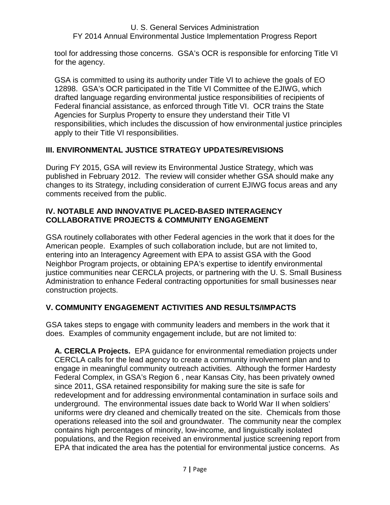tool for addressing those concerns. GSA's OCR is responsible for enforcing Title VI for the agency.

GSA is committed to using its authority under Title VI to achieve the goals of EO 12898. GSA's OCR participated in the Title VI Committee of the EJIWG, which drafted language regarding environmental justice responsibilities of recipients of Federal financial assistance, as enforced through Title VI. OCR trains the State Agencies for Surplus Property to ensure they understand their Title VI responsibilities, which includes the discussion of how environmental justice principles apply to their Title VI responsibilities.

# **III. ENVIRONMENTAL JUSTICE STRATEGY UPDATES/REVISIONS**

During FY 2015, GSA will review its Environmental Justice Strategy, which was published in February 2012. The review will consider whether GSA should make any changes to its Strategy, including consideration of current EJIWG focus areas and any comments received from the public.

# **IV. NOTABLE AND INNOVATIVE PLACED-BASED INTERAGENCY COLLABORATIVE PROJECTS & COMMUNITY ENGAGEMENT**

GSA routinely collaborates with other Federal agencies in the work that it does for the American people. Examples of such collaboration include, but are not limited to, entering into an Interagency Agreement with EPA to assist GSA with the Good Neighbor Program projects, or obtaining EPA's expertise to identify environmental justice communities near CERCLA projects, or partnering with the U. S. Small Business Administration to enhance Federal contracting opportunities for small businesses near construction projects.

# **V. COMMUNITY ENGAGEMENT ACTIVITIES AND RESULTS/IMPACTS**

GSA takes steps to engage with community leaders and members in the work that it does. Examples of community engagement include, but are not limited to:

**A. CERCLA Projects.** EPA guidance for environmental remediation projects under CERCLA calls for the lead agency to create a community involvement plan and to engage in meaningful community outreach activities. Although the former Hardesty Federal Complex, in GSA's Region 6 , near Kansas City, has been privately owned since 2011, GSA retained responsibility for making sure the site is safe for redevelopment and for addressing environmental contamination in surface soils and underground. The environmental issues date back to World War II when soldiers' uniforms were dry cleaned and chemically treated on the site. Chemicals from those operations released into the soil and groundwater. The community near the complex contains high percentages of minority, low-income, and linguistically isolated populations, and the Region received an environmental justice screening report from EPA that indicated the area has the potential for environmental justice concerns. As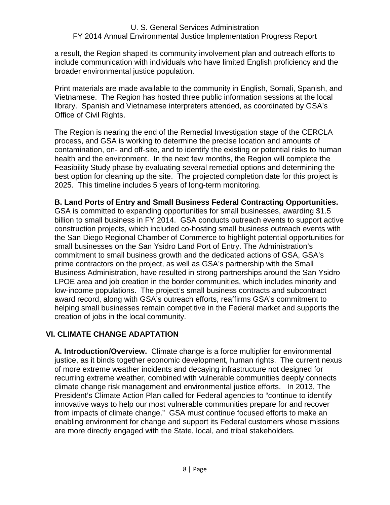a result, the Region shaped its community involvement plan and outreach efforts to include communication with individuals who have limited English proficiency and the broader environmental justice population.

Print materials are made available to the community in English, Somali, Spanish, and Vietnamese. The Region has hosted three public information sessions at the local library. Spanish and Vietnamese interpreters attended, as coordinated by GSA's Office of Civil Rights.

The Region is nearing the end of the Remedial Investigation stage of the CERCLA process, and GSA is working to determine the precise location and amounts of contamination, on- and off-site, and to identify the existing or potential risks to human health and the environment. In the next few months, the Region will complete the Feasibility Study phase by evaluating several remedial options and determining the best option for cleaning up the site. The projected completion date for this project is 2025. This timeline includes 5 years of long-term monitoring.

## **B. Land Ports of Entry and Small Business Federal Contracting Opportunities.**

GSA is committed to expanding opportunities for small businesses, awarding \$1.5 billion to small business in FY 2014. GSA conducts outreach events to support active construction projects, which included co-hosting small business outreach events with the San Diego Regional Chamber of Commerce to highlight potential opportunities for small businesses on the San Ysidro Land Port of Entry. The Administration's commitment to small business growth and the dedicated actions of GSA, GSA's prime contractors on the project, as well as GSA's partnership with the Small Business Administration, have resulted in strong partnerships around the San Ysidro LPOE area and job creation in the border communities, which includes minority and low-income populations. The project's small business contracts and subcontract award record, along with GSA's outreach efforts, reaffirms GSA's commitment to helping small businesses remain competitive in the Federal market and supports the creation of jobs in the local community.

# **VI. CLIMATE CHANGE ADAPTATION**

**A. Introduction/Overview.** Climate change is a force multiplier for environmental justice, as it binds together economic development, human rights. The current nexus of more extreme weather incidents and decaying infrastructure not designed for recurring extreme weather, combined with vulnerable communities deeply connects climate change risk management and environmental justice efforts. In 2013, The President's Climate Action Plan called for Federal agencies to "continue to identify innovative ways to help our most vulnerable communities prepare for and recover from impacts of climate change." GSA must continue focused efforts to make an enabling environment for change and support its Federal customers whose missions are more directly engaged with the State, local, and tribal stakeholders.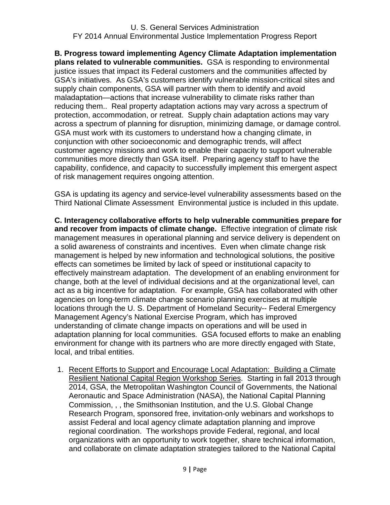**B. Progress toward implementing Agency Climate Adaptation implementation plans related to vulnerable communities.** GSA is responding to environmental justice issues that impact its Federal customers and the communities affected by GSA's initiatives. As GSA's customers identify vulnerable mission-critical sites and supply chain components, GSA will partner with them to identify and avoid maladaptation—actions that increase vulnerability to climate risks rather than reducing them.. Real property adaptation actions may vary across a spectrum of protection, accommodation, or retreat. Supply chain adaptation actions may vary across a spectrum of planning for disruption, minimizing damage, or damage control. GSA must work with its customers to understand how a changing climate, in conjunction with other socioeconomic and demographic trends, will affect customer agency missions and work to enable their capacity to support vulnerable communities more directly than GSA itself. Preparing agency staff to have the capability, confidence, and capacity to successfully implement this emergent aspect of risk management requires ongoing attention.

GSA is updating its agency and service-level vulnerability assessments based on the Third National Climate Assessment Environmental justice is included in this update.

**C. Interagency collaborative efforts to help vulnerable communities prepare for and recover from impacts of climate change.** Effective integration of climate risk management measures in operational planning and service delivery is dependent on a solid awareness of constraints and incentives. Even when climate change risk management is helped by new information and technological solutions, the positive effects can sometimes be limited by lack of speed or institutional capacity to effectively mainstream adaptation. The development of an enabling environment for change, both at the level of individual decisions and at the organizational level, can act as a big incentive for adaptation. For example, GSA has collaborated with other agencies on long-term climate change scenario planning exercises at multiple locations through the U. S. Department of Homeland Security-- Federal Emergency Management Agency's National Exercise Program, which has improved understanding of climate change impacts on operations and will be used in adaptation planning for local communities. GSA focused efforts to make an enabling environment for change with its partners who are more directly engaged with State, local, and tribal entities.

1. Recent Efforts to Support and Encourage Local Adaptation: Building a Climate Resilient National Capital Region Workshop Series. Starting in fall 2013 through 2014, GSA, the Metropolitan Washington Council of Governments, the National Aeronautic and Space Administration (NASA), the National Capital Planning Commission, , , the Smithsonian Institution, and the U.S. Global Change Research Program, sponsored free, invitation-only webinars and workshops to assist Federal and local agency climate adaptation planning and improve regional coordination. The workshops provide Federal, regional, and local organizations with an opportunity to work together, share technical information, and collaborate on climate adaptation strategies tailored to the National Capital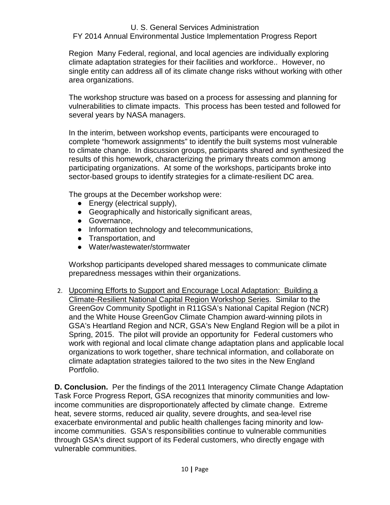## U. S. General Services Administration

# FY 2014 Annual Environmental Justice Implementation Progress Report

Region Many Federal, regional, and local agencies are individually exploring climate adaptation strategies for their facilities and workforce.. However, no single entity can address all of its climate change risks without working with other area organizations.

The workshop structure was based on a process for assessing and planning for vulnerabilities to climate impacts. This process has been tested and followed for several years by NASA managers.

In the interim, between workshop events, participants were encouraged to complete "homework assignments" to identify the built systems most vulnerable to climate change. In discussion groups, participants shared and synthesized the results of this homework, characterizing the primary threats common among participating organizations. At some of the workshops, participants broke into sector-based groups to identify strategies for a climate-resilient DC area.

The groups at the December workshop were:

- Energy (electrical supply),
- Geographically and historically significant areas,
- Governance,
- Information technology and telecommunications,
- Transportation, and
- Water/wastewater/stormwater

Workshop participants developed shared messages to communicate climate preparedness messages within their organizations.

2. Upcoming Efforts to Support and Encourage Local Adaptation: Building a Climate-Resilient National Capital Region Workshop Series. Similar to the GreenGov Community Spotlight in R11GSA's National Capital Region (NCR) and the White House GreenGov Climate Champion award-winning pilots in GSA's Heartland Region and NCR, GSA's New England Region will be a pilot in Spring, 2015. The pilot will provide an opportunity for Federal customers who work with regional and local climate change adaptation plans and applicable local organizations to work together, share technical information, and collaborate on climate adaptation strategies tailored to the two sites in the New England Portfolio.

**D. Conclusion.** Per the findings of the 2011 Interagency Climate Change Adaptation Task Force Progress Report, GSA recognizes that minority communities and lowincome communities are disproportionately affected by climate change. Extreme heat, severe storms, reduced air quality, severe droughts, and sea-level rise exacerbate environmental and public health challenges facing minority and lowincome communities. GSA's responsibilities continue to vulnerable communities through GSA's direct support of its Federal customers, who directly engage with vulnerable communities.